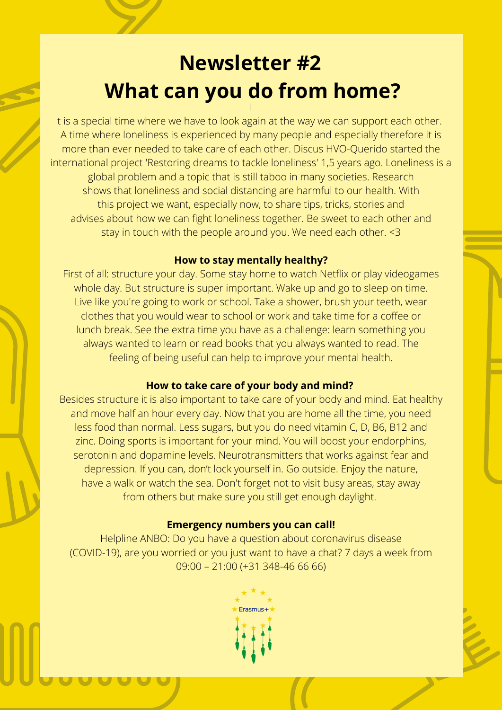# **Newsletter #2 What can you do from home?** I

t is a special time where we have to look again at the way we can support each other. A time where loneliness is experienced by many people and especially therefore it is more than ever needed to take care of each other. Discus HVO-Querido started the international project 'Restoring dreams to tackle loneliness' 1,5 years ago. Loneliness is a global problem and a topic that is still taboo in many societies. Research shows that loneliness and social distancing are harmful to our health. With this project we want, especially now, to share tips, tricks, stories and advises about how we can fight loneliness together. Be sweet to each other and stay in touch with the people around you. We need each other. <3

## **How to stay mentally healthy?**

First of all: structure your day. Some stay home to watch Netflix or play videogames whole day. But structure is super important. Wake up and go to sleep on time. Live like you're going to work or school. Take a shower, brush your teeth, wear clothes that you would wear to school or work and take time for a coffee or lunch break. See the extra time you have as a challenge: learn something you always wanted to learn or read books that you always wanted to read. The feeling of being useful can help to improve your mental health.

## **How to take care of your body and mind?**

Besides structure it is also important to take care of your body and mind. Eat healthy and move half an hour every day. Now that you are home all the time, you need less food than normal. Less sugars, but you do need vitamin C, D, B6, B12 and zinc. Doing sports is important for your mind. You will boost your endorphins, serotonin and dopamine levels. Neurotransmitters that works against fear and depression. If you can, don't lock yourself in. Go outside. Enjoy the nature, have a walk or watch the sea. Don't forget not to visit busy areas, stay away from others but make sure you still get enough daylight.

# **Emergency numbers you can call!**

Helpline ANBO: Do you have a question about coronavirus disease (COVID-19), are you worried or you just want to have a chat? 7 days a week from 09:00 – 21:00 (+31 348-46 66 66)